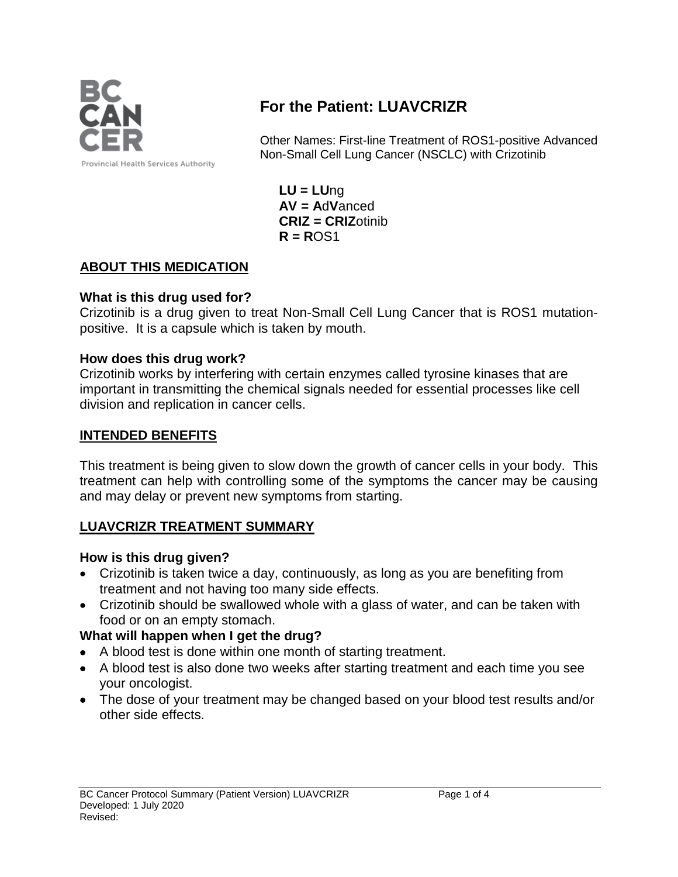

# **For the Patient: LUAVCRIZR**

Other Names: First-line Treatment of ROS1-positive Advanced Non-Small Cell Lung Cancer (NSCLC) with Crizotinib

**LU = LU**ng **AV = A**d**V**anced **CRIZ = CRIZ**otinib **R = R**OS1

# **ABOUT THIS MEDICATION**

#### **What is this drug used for?**

Crizotinib is a drug given to treat Non-Small Cell Lung Cancer that is ROS1 mutationpositive. It is a capsule which is taken by mouth.

# **How does this drug work?**

Crizotinib works by interfering with certain enzymes called tyrosine kinases that are important in transmitting the chemical signals needed for essential processes like cell division and replication in cancer cells.

# **INTENDED BENEFITS**

This treatment is being given to slow down the growth of cancer cells in your body. This treatment can help with controlling some of the symptoms the cancer may be causing and may delay or prevent new symptoms from starting.

#### **LUAVCRIZR TREATMENT SUMMARY**

#### **How is this drug given?**

- Crizotinib is taken twice a day, continuously, as long as you are benefiting from treatment and not having too many side effects.
- Crizotinib should be swallowed whole with a glass of water, and can be taken with food or on an empty stomach.

# **What will happen when I get the drug?**

- A blood test is done within one month of starting treatment.
- A blood test is also done two weeks after starting treatment and each time you see your oncologist.
- The dose of your treatment may be changed based on your blood test results and/or other side effects.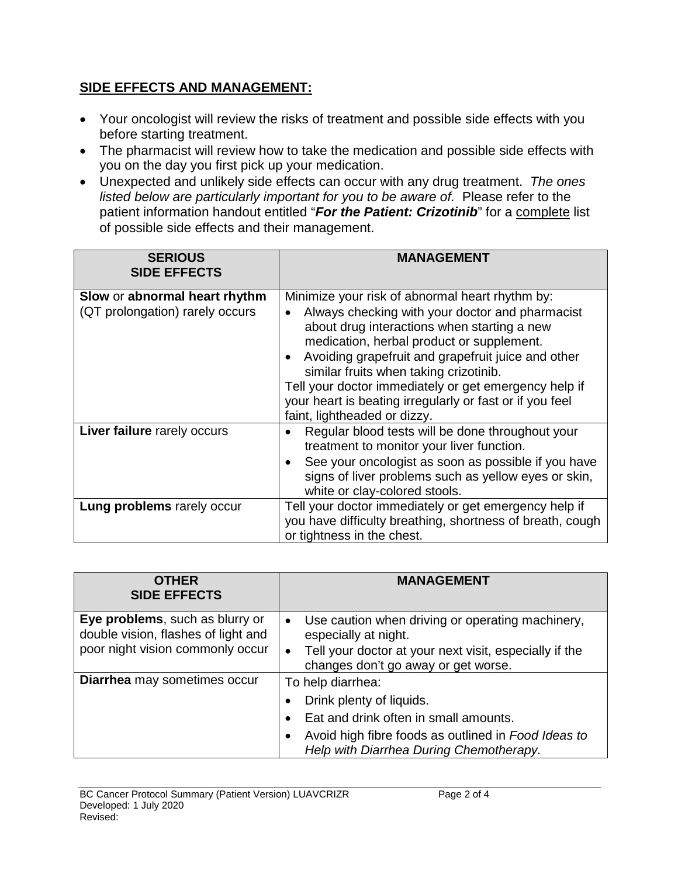# **SIDE EFFECTS AND MANAGEMENT:**

- Your oncologist will review the risks of treatment and possible side effects with you before starting treatment.
- The pharmacist will review how to take the medication and possible side effects with you on the day you first pick up your medication.
- Unexpected and unlikely side effects can occur with any drug treatment. *The ones listed below are particularly important for you to be aware of.* Please refer to the patient information handout entitled "*For the Patient: Crizotinib*" for a complete list of possible side effects and their management.

| <b>SERIOUS</b><br><b>SIDE EFFECTS</b>                            | <b>MANAGEMENT</b>                                                                                                                                                                                                                                                                                                                                                                                                                                                |
|------------------------------------------------------------------|------------------------------------------------------------------------------------------------------------------------------------------------------------------------------------------------------------------------------------------------------------------------------------------------------------------------------------------------------------------------------------------------------------------------------------------------------------------|
| Slow or abnormal heart rhythm<br>(QT prolongation) rarely occurs | Minimize your risk of abnormal heart rhythm by:<br>Always checking with your doctor and pharmacist<br>about drug interactions when starting a new<br>medication, herbal product or supplement.<br>Avoiding grapefruit and grapefruit juice and other<br>$\bullet$<br>similar fruits when taking crizotinib.<br>Tell your doctor immediately or get emergency help if<br>your heart is beating irregularly or fast or if you feel<br>faint, lightheaded or dizzy. |
| Liver failure rarely occurs                                      | Regular blood tests will be done throughout your<br>treatment to monitor your liver function.<br>See your oncologist as soon as possible if you have<br>signs of liver problems such as yellow eyes or skin,<br>white or clay-colored stools.                                                                                                                                                                                                                    |
| Lung problems rarely occur                                       | Tell your doctor immediately or get emergency help if<br>you have difficulty breathing, shortness of breath, cough<br>or tightness in the chest.                                                                                                                                                                                                                                                                                                                 |

| <b>OTHER</b><br><b>SIDE EFFECTS</b>                                                                        | <b>MANAGEMENT</b>                                                                                                                                                                      |
|------------------------------------------------------------------------------------------------------------|----------------------------------------------------------------------------------------------------------------------------------------------------------------------------------------|
| Eye problems, such as blurry or<br>double vision, flashes of light and<br>poor night vision commonly occur | Use caution when driving or operating machinery,<br>$\bullet$<br>especially at night.<br>Tell your doctor at your next visit, especially if the<br>changes don't go away or get worse. |
| Diarrhea may sometimes occur                                                                               | To help diarrhea:                                                                                                                                                                      |
|                                                                                                            | Drink plenty of liquids.                                                                                                                                                               |
|                                                                                                            | Eat and drink often in small amounts.                                                                                                                                                  |
|                                                                                                            | Avoid high fibre foods as outlined in Food Ideas to<br>$\bullet$<br>Help with Diarrhea During Chemotherapy.                                                                            |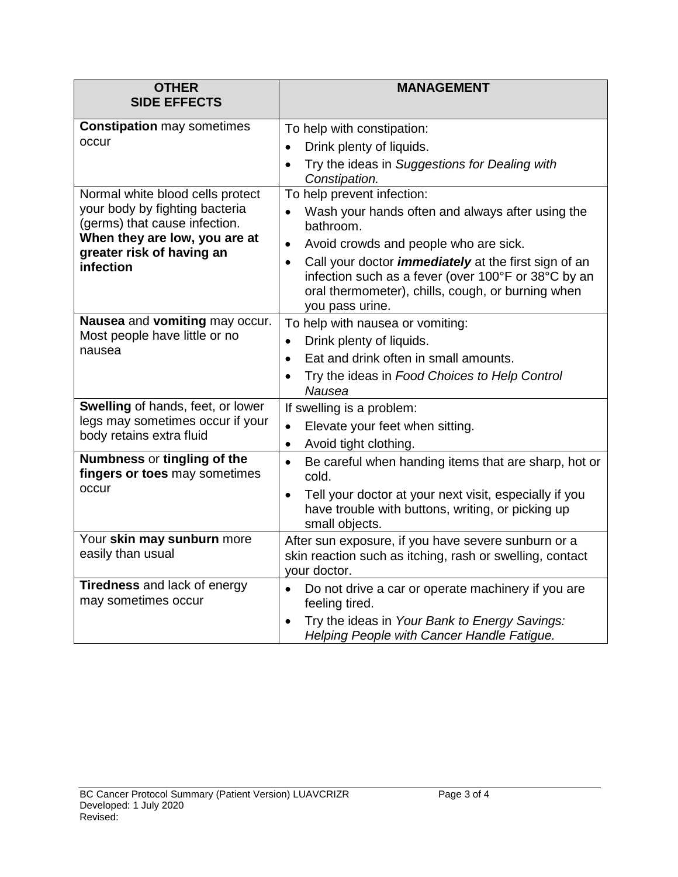| <b>OTHER</b>                                                                                                                                                                   | <b>MANAGEMENT</b>                                                                                                                                                                                       |
|--------------------------------------------------------------------------------------------------------------------------------------------------------------------------------|---------------------------------------------------------------------------------------------------------------------------------------------------------------------------------------------------------|
| <b>SIDE EFFECTS</b>                                                                                                                                                            |                                                                                                                                                                                                         |
| <b>Constipation may sometimes</b><br>occur                                                                                                                                     | To help with constipation:                                                                                                                                                                              |
|                                                                                                                                                                                | Drink plenty of liquids.                                                                                                                                                                                |
|                                                                                                                                                                                | Try the ideas in Suggestions for Dealing with<br>$\bullet$<br>Constipation.                                                                                                                             |
| Normal white blood cells protect<br>your body by fighting bacteria<br>(germs) that cause infection.<br>When they are low, you are at<br>greater risk of having an<br>infection | To help prevent infection:                                                                                                                                                                              |
|                                                                                                                                                                                | Wash your hands often and always after using the<br>bathroom.                                                                                                                                           |
|                                                                                                                                                                                | Avoid crowds and people who are sick.<br>$\bullet$                                                                                                                                                      |
|                                                                                                                                                                                | Call your doctor <i>immediately</i> at the first sign of an<br>$\bullet$<br>infection such as a fever (over 100°F or 38°C by an<br>oral thermometer), chills, cough, or burning when<br>you pass urine. |
| Nausea and vomiting may occur.                                                                                                                                                 | To help with nausea or vomiting:                                                                                                                                                                        |
| Most people have little or no<br>nausea                                                                                                                                        | Drink plenty of liquids.<br>$\bullet$                                                                                                                                                                   |
|                                                                                                                                                                                | Eat and drink often in small amounts.<br>$\bullet$                                                                                                                                                      |
|                                                                                                                                                                                | Try the ideas in Food Choices to Help Control<br>$\bullet$<br>Nausea                                                                                                                                    |
| Swelling of hands, feet, or lower<br>legs may sometimes occur if your<br>body retains extra fluid                                                                              | If swelling is a problem:                                                                                                                                                                               |
|                                                                                                                                                                                | Elevate your feet when sitting.<br>$\bullet$                                                                                                                                                            |
|                                                                                                                                                                                | Avoid tight clothing.<br>$\bullet$                                                                                                                                                                      |
| Numbness or tingling of the<br>fingers or toes may sometimes<br>occur                                                                                                          | Be careful when handing items that are sharp, hot or<br>$\bullet$<br>cold.                                                                                                                              |
|                                                                                                                                                                                | Tell your doctor at your next visit, especially if you<br>have trouble with buttons, writing, or picking up<br>small objects.                                                                           |
| Your skin may sunburn more<br>easily than usual                                                                                                                                | After sun exposure, if you have severe sunburn or a<br>skin reaction such as itching, rash or swelling, contact<br>your doctor.                                                                         |
| Tiredness and lack of energy<br>may sometimes occur                                                                                                                            | Do not drive a car or operate machinery if you are<br>$\bullet$<br>feeling tired.                                                                                                                       |
|                                                                                                                                                                                | Try the ideas in Your Bank to Energy Savings:<br>Helping People with Cancer Handle Fatigue.                                                                                                             |